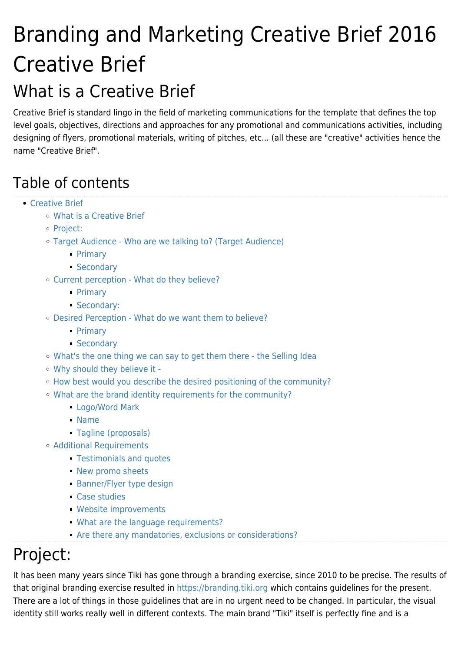# Branding and Marketing Creative Brief 2016 Creative Brief

## What is a Creative Brief

Creative Brief is standard lingo in the field of marketing communications for the template that defines the top level goals, objectives, directions and approaches for any promotional and communications activities, including designing of flyers, promotional materials, writing of pitches, etc... (all these are "creative" activities hence the name "Creative Brief".

## Table of contents

- [Creative Brief](#page--1-0)
	- [What is a Creative Brief](#page--1-0)
	- [Project:](#page--1-0)
	- [Target Audience Who are we talking to? \(Target Audience\)](#page--1-0)
		- [Primary](#page--1-0)
		- **[Secondary](#page--1-0)**
	- [Current perception What do they believe?](#page--1-0)
		- [Primary](#page--1-0)
		- [Secondary:](#page--1-0)
	- [Desired Perception What do we want them to believe?](#page--1-0)
		- [Primary](#page--1-0)
		- [Secondary](#page--1-0)
	- [What's the one thing we can say to get them there the Selling Idea](#page--1-0)
	- [Why should they believe it -](#page--1-0)
	- [How best would you describe the desired positioning of the community?](#page--1-0)
	- [What are the brand identity requirements for the community?](#page--1-0)
		- [Logo/Word Mark](#page--1-0)
		- [Name](#page--1-0)
		- [Tagline \(proposals\)](#page--1-0)
	- [Additional Requirements](#page--1-0)
		- [Testimonials and quotes](#page--1-0)
		- **[New promo sheets](#page--1-0)**
		- **[Banner/Flyer type design](#page--1-0)**
		- [Case studies](#page--1-0)
		- [Website improvements](#page--1-0)
		- [What are the language requirements?](#page--1-0)
		- [Are there any mandatories, exclusions or considerations?](#page--1-0)

## Project:

It has been many years since Tiki has gone through a branding exercise, since 2010 to be precise. The results of that original branding exercise resulted in<https://branding.tiki.org> which contains guidelines for the present. There are a lot of things in those guidelines that are in no urgent need to be changed. In particular, the visual identity still works really well in different contexts. The main brand "Tiki" itself is perfectly fine and is a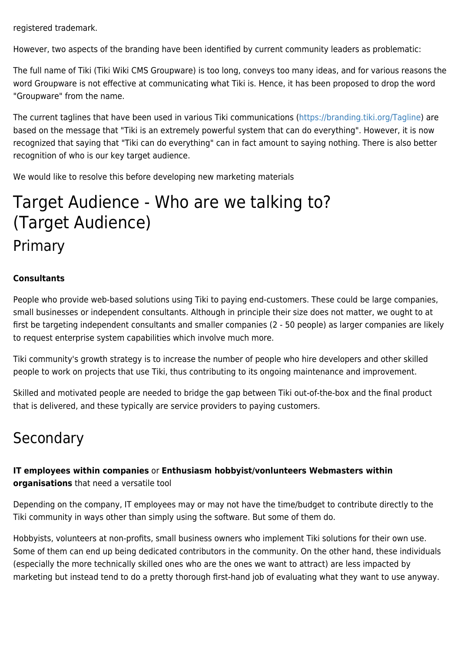registered trademark.

However, two aspects of the branding have been identified by current community leaders as problematic:

The full name of Tiki (Tiki Wiki CMS Groupware) is too long, conveys too many ideas, and for various reasons the word Groupware is not effective at communicating what Tiki is. Hence, it has been proposed to drop the word "Groupware" from the name.

The current taglines that have been used in various Tiki communications [\(https://branding.tiki.org/Tagline\)](https://branding.tiki.org/Tagline) are based on the message that "Tiki is an extremely powerful system that can do everything". However, it is now recognized that saying that "Tiki can do everything" can in fact amount to saying nothing. There is also better recognition of who is our key target audience.

We would like to resolve this before developing new marketing materials

## Target Audience - Who are we talking to? (Target Audience) Primary

#### **Consultants**

People who provide web-based solutions using Tiki to paying end-customers. These could be large companies, small businesses or independent consultants. Although in principle their size does not matter, we ought to at first be targeting independent consultants and smaller companies (2 - 50 people) as larger companies are likely to request enterprise system capabilities which involve much more.

Tiki community's growth strategy is to increase the number of people who hire developers and other skilled people to work on projects that use Tiki, thus contributing to its ongoing maintenance and improvement.

Skilled and motivated people are needed to bridge the gap between Tiki out-of-the-box and the final product that is delivered, and these typically are service providers to paying customers.

### Secondary

#### **IT employees within companies** or **Enthusiasm hobbyist/vonlunteers Webmasters within organisations** that need a versatile tool

Depending on the company, IT employees may or may not have the time/budget to contribute directly to the Tiki community in ways other than simply using the software. But some of them do.

Hobbyists, volunteers at non-profits, small business owners who implement Tiki solutions for their own use. Some of them can end up being dedicated contributors in the community. On the other hand, these individuals (especially the more technically skilled ones who are the ones we want to attract) are less impacted by marketing but instead tend to do a pretty thorough first-hand job of evaluating what they want to use anyway.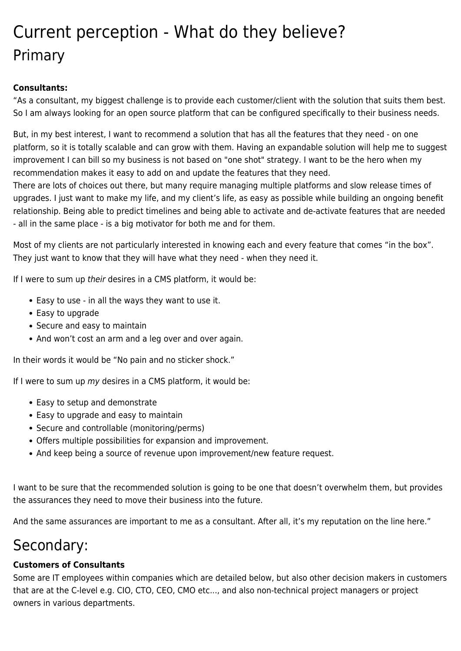## Current perception - What do they believe? Primary

#### **Consultants:**

"As a consultant, my biggest challenge is to provide each customer/client with the solution that suits them best. So I am always looking for an open source platform that can be configured specifically to their business needs.

But, in my best interest, I want to recommend a solution that has all the features that they need - on one platform, so it is totally scalable and can grow with them. Having an expandable solution will help me to suggest improvement I can bill so my business is not based on "one shot" strategy. I want to be the hero when my recommendation makes it easy to add on and update the features that they need.

There are lots of choices out there, but many require managing multiple platforms and slow release times of upgrades. I just want to make my life, and my client's life, as easy as possible while building an ongoing benefit relationship. Being able to predict timelines and being able to activate and de-activate features that are needed - all in the same place - is a big motivator for both me and for them.

Most of my clients are not particularly interested in knowing each and every feature that comes "in the box". They just want to know that they will have what they need - when they need it.

If I were to sum up their desires in a CMS platform, it would be:

- Easy to use in all the ways they want to use it.
- Easy to upgrade
- Secure and easy to maintain
- And won't cost an arm and a leg over and over again.

In their words it would be "No pain and no sticker shock."

If I were to sum up  $my$  desires in a CMS platform, it would be:

- Easy to setup and demonstrate
- Easy to upgrade and easy to maintain
- Secure and controllable (monitoring/perms)
- Offers multiple possibilities for expansion and improvement.
- And keep being a source of revenue upon improvement/new feature request.

I want to be sure that the recommended solution is going to be one that doesn't overwhelm them, but provides the assurances they need to move their business into the future.

And the same assurances are important to me as a consultant. After all, it's my reputation on the line here."

### Secondary:

#### **Customers of Consultants**

Some are IT employees within companies which are detailed below, but also other decision makers in customers that are at the C-level e.g. CIO, CTO, CEO, CMO etc..., and also non-technical project managers or project owners in various departments.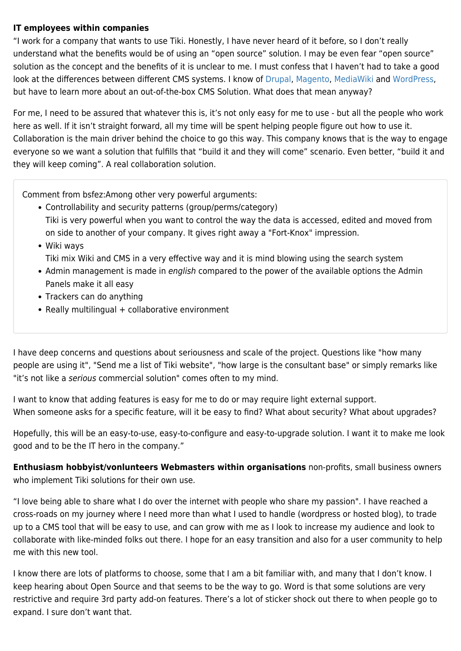#### **IT employees within companies**

"I work for a company that wants to use Tiki. Honestly, I have never heard of it before, so I don't really understand what the benefits would be of using an "open source" solution. I may be even fear "open source" solution as the concept and the benefits of it is unclear to me. I must confess that I haven't had to take a good look at the differences between different CMS systems. I know of [Drupal](https://www.drupal.org), [Magento,](http://magento.com) [MediaWiki](https://www.mediawiki.org) and [WordPress](https://wordpress.org), but have to learn more about an out-of-the-box CMS Solution. What does that mean anyway?

For me, I need to be assured that whatever this is, it's not only easy for me to use - but all the people who work here as well. If it isn't straight forward, all my time will be spent helping people figure out how to use it. Collaboration is the main driver behind the choice to go this way. This company knows that is the way to engage everyone so we want a solution that fulfills that "build it and they will come" scenario. Even better, "build it and they will keep coming". A real collaboration solution.

Comment from bsfez:Among other very powerful arguments:

- Controllability and security patterns (group/perms/category) Tiki is very powerful when you want to control the way the data is accessed, edited and moved from on side to another of your company. It gives right away a "Fort-Knox" impression.
- Wiki ways

Tiki mix Wiki and CMS in a very effective way and it is mind blowing using the search system

- Admin management is made in english compared to the power of the available options the Admin Panels make it all easy
- Trackers can do anything
- $\bullet$  Really multilingual  $+$  collaborative environment

I have deep concerns and questions about seriousness and scale of the project. Questions like "how many people are using it", "Send me a list of Tiki website", "how large is the consultant base" or simply remarks like "it's not like a serious commercial solution" comes often to my mind.

I want to know that adding features is easy for me to do or may require light external support. When someone asks for a specific feature, will it be easy to find? What about security? What about upgrades?

Hopefully, this will be an easy-to-use, easy-to-configure and easy-to-upgrade solution. I want it to make me look good and to be the IT hero in the company."

**Enthusiasm hobbyist/vonlunteers Webmasters within organisations** non-profits, small business owners who implement Tiki solutions for their own use.

"I love being able to share what I do over the internet with people who share my passion". I have reached a cross-roads on my journey where I need more than what I used to handle (wordpress or hosted blog), to trade up to a CMS tool that will be easy to use, and can grow with me as I look to increase my audience and look to collaborate with like-minded folks out there. I hope for an easy transition and also for a user community to help me with this new tool.

I know there are lots of platforms to choose, some that I am a bit familiar with, and many that I don't know. I keep hearing about Open Source and that seems to be the way to go. Word is that some solutions are very restrictive and require 3rd party add-on features. There's a lot of sticker shock out there to when people go to expand. I sure don't want that.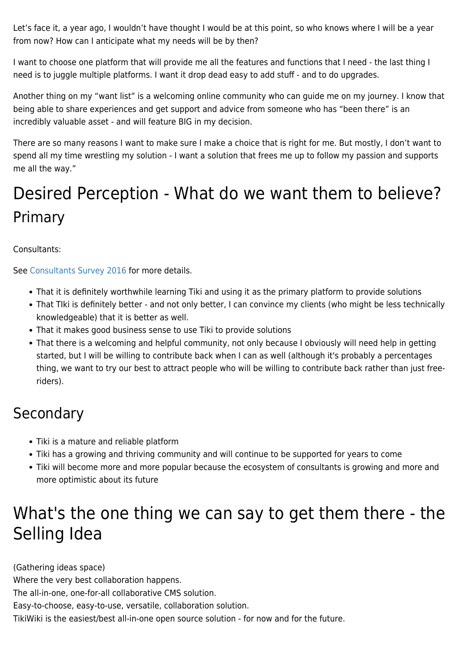Let's face it, a year ago, I wouldn't have thought I would be at this point, so who knows where I will be a year from now? How can I anticipate what my needs will be by then?

I want to choose one platform that will provide me all the features and functions that I need - the last thing I need is to juggle multiple platforms. I want it drop dead easy to add stuff - and to do upgrades.

Another thing on my "want list" is a welcoming online community who can guide me on my journey. I know that being able to share experiences and get support and advice from someone who has "been there" is an incredibly valuable asset - and will feature BIG in my decision.

There are so many reasons I want to make sure I make a choice that is right for me. But mostly, I don't want to spend all my time wrestling my solution - I want a solution that frees me up to follow my passion and supports me all the way."

## Desired Perception - What do we want them to believe? Primary

Consultants:

See [Consultants Survey 2016](https://tiki.org/Consultants-Survey-2016) for more details.

- That it is definitely worthwhile learning Tiki and using it as the primary platform to provide solutions
- That TIki is definitely better and not only better, I can convince my clients (who might be less technically knowledgeable) that it is better as well.
- That it makes good business sense to use Tiki to provide solutions
- That there is a welcoming and helpful community, not only because I obviously will need help in getting started, but I will be willing to contribute back when I can as well (although it's probably a percentages thing, we want to try our best to attract people who will be willing to contribute back rather than just freeriders).

### **Secondary**

- Tiki is a mature and reliable platform
- Tiki has a growing and thriving community and will continue to be supported for years to come
- Tiki will become more and more popular because the ecosystem of consultants is growing and more and more optimistic about its future

## What's the one thing we can say to get them there - the Selling Idea

(Gathering ideas space) Where the very best collaboration happens. The all-in-one, one-for-all collaborative CMS solution. Easy-to-choose, easy-to-use, versatile, collaboration solution. TikiWiki is the easiest/best all-in-one open source solution - for now and for the future.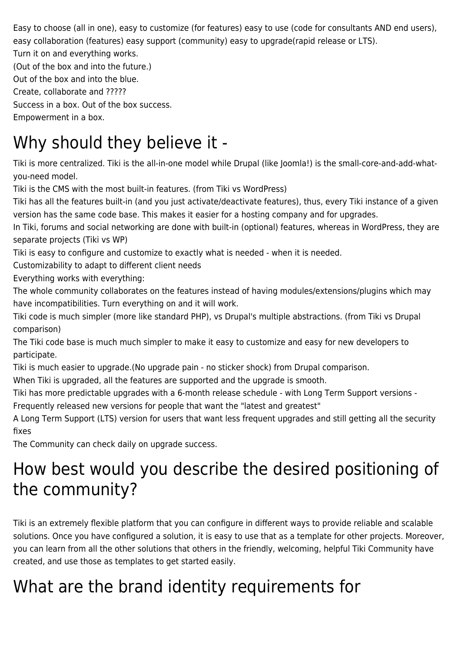Easy to choose (all in one), easy to customize (for features) easy to use (code for consultants AND end users), easy collaboration (features) easy support (community) easy to upgrade(rapid release or LTS).

Turn it on and everything works.

(Out of the box and into the future.)

Out of the box and into the blue.

Create, collaborate and ?????

Success in a box. Out of the box success.

Empowerment in a box.

## Why should they believe it -

Tiki is more centralized. Tiki is the all-in-one model while Drupal (like Joomla!) is the small-core-and-add-whatyou-need model.

Tiki is the CMS with the most built-in features. (from Tiki vs WordPress)

Tiki has all the features built-in (and you just activate/deactivate features), thus, every Tiki instance of a given version has the same code base. This makes it easier for a hosting company and for upgrades.

In Tiki, forums and social networking are done with built-in (optional) features, whereas in WordPress, they are separate projects (Tiki vs WP)

Tiki is easy to configure and customize to exactly what is needed - when it is needed.

Customizability to adapt to different client needs

Everything works with everything:

The whole community collaborates on the features instead of having modules/extensions/plugins which may have incompatibilities. Turn everything on and it will work.

Tiki code is much simpler (more like standard PHP), vs Drupal's multiple abstractions. (from Tiki vs Drupal comparison)

The Tiki code base is much much simpler to make it easy to customize and easy for new developers to participate.

Tiki is much easier to upgrade.(No upgrade pain - no sticker shock) from Drupal comparison.

When Tiki is upgraded, all the features are supported and the upgrade is smooth.

Tiki has more predictable upgrades with a 6-month release schedule - with Long Term Support versions -

Frequently released new versions for people that want the "latest and greatest"

A Long Term Support (LTS) version for users that want less frequent upgrades and still getting all the security fixes

The Community can check daily on upgrade success.

## How best would you describe the desired positioning of the community?

Tiki is an extremely flexible platform that you can configure in different ways to provide reliable and scalable solutions. Once you have configured a solution, it is easy to use that as a template for other projects. Moreover, you can learn from all the other solutions that others in the friendly, welcoming, helpful Tiki Community have created, and use those as templates to get started easily.

## What are the brand identity requirements for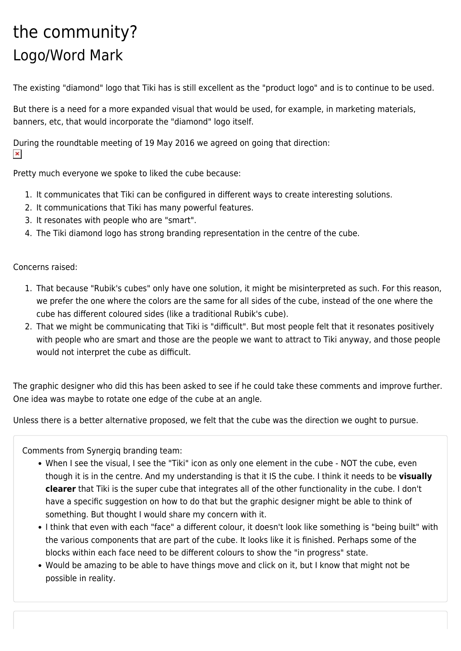## the community? Logo/Word Mark

The existing "diamond" logo that Tiki has is still excellent as the "product logo" and is to continue to be used.

But there is a need for a more expanded visual that would be used, for example, in marketing materials, banners, etc, that would incorporate the "diamond" logo itself.

During the roundtable meeting of 19 May 2016 we agreed on going that direction:  $\pmb{\times}$ 

Pretty much everyone we spoke to liked the cube because:

- 1. It communicates that Tiki can be configured in different ways to create interesting solutions.
- 2. It communications that Tiki has many powerful features.
- 3. It resonates with people who are "smart".
- 4. The Tiki diamond logo has strong branding representation in the centre of the cube.

#### Concerns raised:

- 1. That because "Rubik's cubes" only have one solution, it might be misinterpreted as such. For this reason, we prefer the one where the colors are the same for all sides of the cube, instead of the one where the cube has different coloured sides (like a traditional Rubik's cube).
- 2. That we might be communicating that Tiki is "difficult". But most people felt that it resonates positively with people who are smart and those are the people we want to attract to Tiki anyway, and those people would not interpret the cube as difficult.

The graphic designer who did this has been asked to see if he could take these comments and improve further. One idea was maybe to rotate one edge of the cube at an angle.

Unless there is a better alternative proposed, we felt that the cube was the direction we ought to pursue.

Comments from Synergiq branding team:

- When I see the visual, I see the "Tiki" icon as only one element in the cube NOT the cube, even though it is in the centre. And my understanding is that it IS the cube. I think it needs to be **visually clearer** that Tiki is the super cube that integrates all of the other functionality in the cube. I don't have a specific suggestion on how to do that but the graphic designer might be able to think of something. But thought I would share my concern with it.
- I think that even with each "face" a different colour, it doesn't look like something is "being built" with the various components that are part of the cube. It looks like it is finished. Perhaps some of the blocks within each face need to be different colours to show the "in progress" state.
- Would be amazing to be able to have things move and click on it, but I know that might not be possible in reality.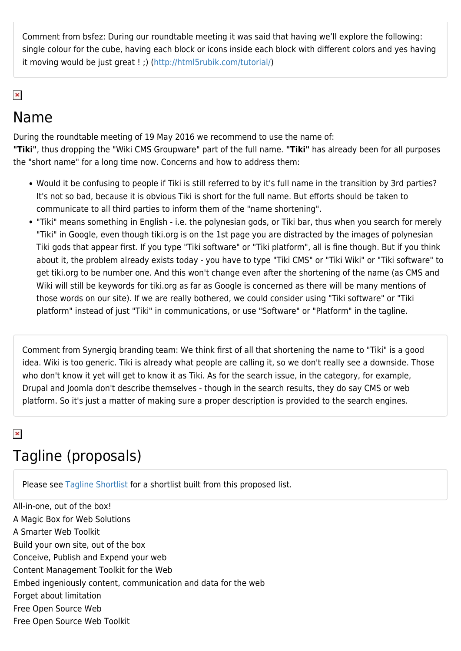Comment from bsfez: During our roundtable meeting it was said that having we'll explore the following: single colour for the cube, having each block or icons inside each block with different colors and yes having it moving would be just great ! ;) ([http://html5rubik.com/tutorial/\)](http://html5rubik.com/tutorial/)

#### $\pmb{\times}$

#### Name

During the roundtable meeting of 19 May 2016 we recommend to use the name of: **"Tiki"**, thus dropping the "Wiki CMS Groupware" part of the full name. **"Tiki"** has already been for all purposes the "short name" for a long time now. Concerns and how to address them:

- Would it be confusing to people if Tiki is still referred to by it's full name in the transition by 3rd parties? It's not so bad, because it is obvious Tiki is short for the full name. But efforts should be taken to communicate to all third parties to inform them of the "name shortening".
- "Tiki" means something in English i.e. the polynesian gods, or Tiki bar, thus when you search for merely "Tiki" in Google, even though tiki.org is on the 1st page you are distracted by the images of polynesian Tiki gods that appear first. If you type "Tiki software" or "Tiki platform", all is fine though. But if you think about it, the problem already exists today - you have to type "Tiki CMS" or "Tiki Wiki" or "Tiki software" to get tiki.org to be number one. And this won't change even after the shortening of the name (as CMS and Wiki will still be keywords for tiki.org as far as Google is concerned as there will be many mentions of those words on our site). If we are really bothered, we could consider using "Tiki software" or "Tiki platform" instead of just "Tiki" in communications, or use "Software" or "Platform" in the tagline.

Comment from Synergiq branding team: We think first of all that shortening the name to "Tiki" is a good idea. Wiki is too generic. Tiki is already what people are calling it, so we don't really see a downside. Those who don't know it yet will get to know it as Tiki. As for the search issue, in the category, for example, Drupal and Joomla don't describe themselves - though in the search results, they do say CMS or web platform. So it's just a matter of making sure a proper description is provided to the search engines.

#### $\pmb{\times}$

### Tagline (proposals)

Please see [Tagline Shortlist](https://tiki.org/Tagline-Shortlist) for a shortlist built from this proposed list.

All-in-one, out of the box! A Magic Box for Web Solutions A Smarter Web Toolkit Build your own site, out of the box Conceive, Publish and Expend your web Content Management Toolkit for the Web Embed ingeniously content, communication and data for the web Forget about limitation Free Open Source Web Free Open Source Web Toolkit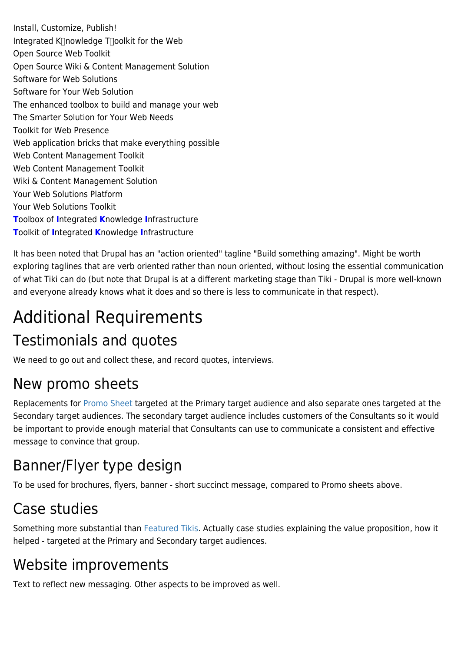Install, Customize, Publish! Integrated K<sup>nowledge</sup> Toolkit for the Web Open Source Web Toolkit Open Source Wiki & Content Management Solution Software for Web Solutions Software for Your Web Solution The enhanced toolbox to build and manage your web The Smarter Solution for Your Web Needs Toolkit for Web Presence Web application bricks that make everything possible Web Content Management Toolkit Web Content Management Toolkit Wiki & Content Management Solution Your Web Solutions Platform Your Web Solutions Toolkit **T**oolbox of **I**ntegrated **K**nowledge **I**nfrastructure **T**oolkit of **I**ntegrated **K**nowledge **I**nfrastructure

It has been noted that Drupal has an "action oriented" tagline "Build something amazing". Might be worth exploring taglines that are verb oriented rather than noun oriented, without losing the essential communication of what Tiki can do (but note that Drupal is at a different marketing stage than Tiki - Drupal is more well-known and everyone already knows what it does and so there is less to communicate in that respect).

## Additional Requirements

### Testimonials and quotes

We need to go out and collect these, and record quotes, interviews.

### New promo sheets

Replacements for [Promo Sheet](https://tiki.org/Promo-Sheet) targeted at the Primary target audience and also separate ones targeted at the Secondary target audiences. The secondary target audience includes customers of the Consultants so it would be important to provide enough material that Consultants can use to communicate a consistent and effective message to convince that group.

### Banner/Flyer type design

To be used for brochures, flyers, banner - short succinct message, compared to Promo sheets above.

## Case studies

Something more substantial than [Featured Tikis](https://tiki.org/Featured-Tikis). Actually case studies explaining the value proposition, how it helped - targeted at the Primary and Secondary target audiences.

### Website improvements

Text to reflect new messaging. Other aspects to be improved as well.